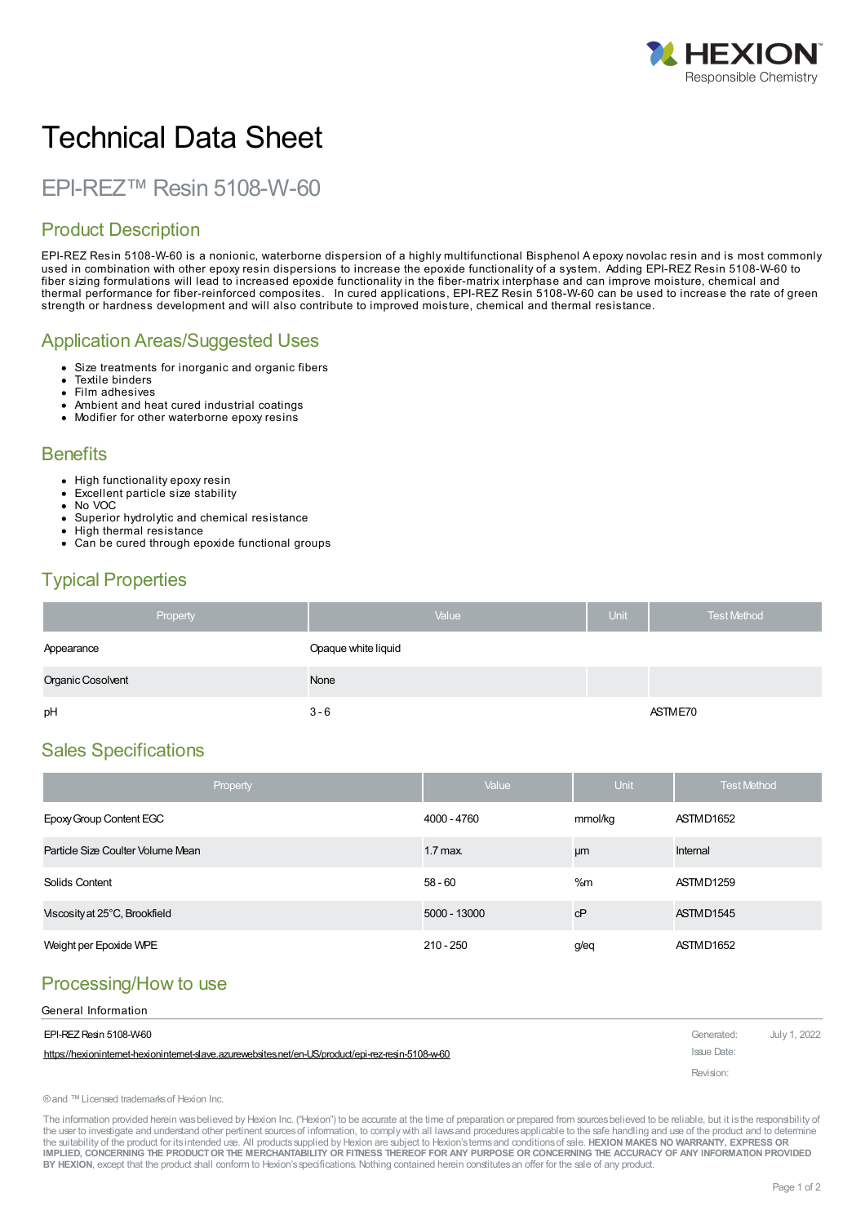

# Technical Data Sheet

EPI-REZ™ Resin 5108-W-60

# Product Description

EPI-REZ Resin 5108-W-60 is a nonionic, waterborne dispersion of a highly multifunctional Bisphenol A epoxy novolac resin and is most commonly used in combination with other epoxy resin dispersions to increase the epoxide functionality of a system. Adding EPI-REZ Resin 5108-W-60 to fiber sizing formulations will lead to increased epoxide functionality in the fiber-matrix interphase and can improve moisture, chemical and thermal performance for fiber-reinforced composites. In cured applications, EPI-REZ Resin 5108-W-60 can be used to increase the rate of green strength or hardness development and will also contribute to improved moisture, chemical and thermal resistance.

## Application Areas/Suggested Uses

- Size treatments for inorganic and organic fibers  $\bullet$
- Textile binders
- Film adhesives
- Ambient and heat cured industrial coatings
- Modifier for other waterborne epoxy resins  $\bullet$

### **Benefits**

- High functionality epoxy resin
- Excellent particle size stability
- No VOC
- Superior hydrolytic and chemical resistance High thermal resistance
- Can be cured through epoxide functional groups

# Typical Properties

| Property          | Value               | <b>Unit</b> | <b>Test Method</b> |
|-------------------|---------------------|-------------|--------------------|
| Appearance        | Opaque white liquid |             |                    |
| Organic Cosolvent | None                |             |                    |
| pH                | $3 - 6$             |             | ASTME70            |

# Sales Specifications

| Property                          | Value        | <b>Unit</b> | <b>Test Method</b> |
|-----------------------------------|--------------|-------------|--------------------|
| Epoxy Group Content EGC           | 4000 - 4760  | mmol/kg     | ASTMD1652          |
| Particle Size Coulter Volume Mean | $1.7$ max.   | μm          | Internal           |
| Solids Content                    | $58 - 60$    | %m          | ASTMD1259          |
| Viscosity at 25°C, Brookfield     | 5000 - 13000 | cP          | ASTMD1545          |
| Weight per Epoxide WPE            | $210 - 250$  | g/eq        | ASTMD1652          |

# Processing/How to use

| General Information                                                                               |             |              |
|---------------------------------------------------------------------------------------------------|-------------|--------------|
| EPI-REZ Resin 5108-W60                                                                            | Generated:  | July 1, 2022 |
| https://hexionintemet-hexionintemet-slave.azurewebsites.net/en-US/product/epi-rez-resin-5108-w-60 | Issue Date: |              |
|                                                                                                   | Revision:   |              |

®and ™Licensed trademarksof Hexion Inc.

The information provided herein was believed by Hexion Inc. ("Hexion") to be accurate at the time of preparation or prepared from sources believed to be reliable, but it is the responsibility of the user to investigate and understand other pertinent sources of information, to comply with all laws and procedures applicable to the safe handling and use of the product and to determine the suitability of the product for itsintended use. All productssupplied by Hexion are subject to Hexion'stermsand conditionsof sale. **HEXION MAKES NO WARRANTY, EXPRESS OR** IMPLIED, CONCERNING THE PRODUCT OR THE MERCHANTABILITY OR FITNESS THEREOF FOR ANY PURPOSE OR CONCERNING THE ACCURACY OF ANY INFORMATION PROVIDED **BY HEXION**, except that the product shall conform to Hexion'sspecifications. Nothing contained herein constitutesan offer for the sale of any product.